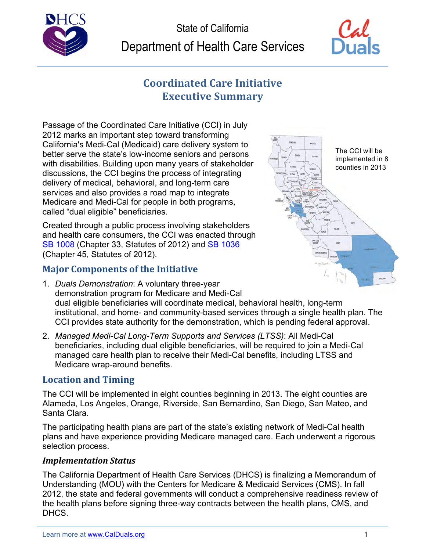



# **Coordinated Care Initiative Executive Summary**

 services and also provides a road map to integrate Medicare and Medi-Cal for people in both programs, Passage of the Coordinated Care Initiative (CCI) in July 2012 marks an important step toward transforming California's Medi-Cal (Medicaid) care delivery system to better serve the state's low-income seniors and persons with disabilities. Building upon many years of stakeholder counties in 2013 discussions, the CCI begins the process of integrating delivery of medical, behavioral, and long-term care called "dual eligible" beneficiaries.

Created through a public process involving stakeholders and health care consumers, the CCI was enacted through SB 1008 (Chapter 33, Statutes of 2012) and SB 1036 (Chapter 45, Statutes of 2012).

## **Major Components of the Initiative**

- The CCI will be
- 1. *Duals Demonstration*: A voluntary three-year demonstration program for Medicare and Medi-Cal dual eligible beneficiaries will coordinate medical, behavioral health, long-term institutional, and home- and community-based services through a single health plan. The CCI provides state authority for the demonstration, which is pending federal approval.
- 2. Managed Medi-Cal Long-Term Supports and Services (LTSS): All Medi-Cal beneficiaries, including dual eligible beneficiaries, will be required to join a Medi-Cal managed care health plan to receive their Medi-Cal benefits, including LTSS and Medicare wrap-around benefits.

## **Location and Timing**

Santa Clara. The CCI will be implemented in eight counties beginning in 2013. The eight counties are Alameda, Los Angeles, Orange, Riverside, San Bernardino, San Diego, San Mateo, and

The participating health plans are part of the state's existing network of Medi-Cal health plans and have experience providing Medicare managed care. Each underwent a rigorous selection process.

## *Implementation Status*

 The California Department of Health Care Services (DHCS) is finalizing a Memorandum of Understanding (MOU) with the Centers for Medicare & Medicaid Services (CMS). In fall 2012, the state and federal governments will conduct a comprehensive readiness review of the health plans before signing three-way contracts between the health plans, CMS, and DHCS.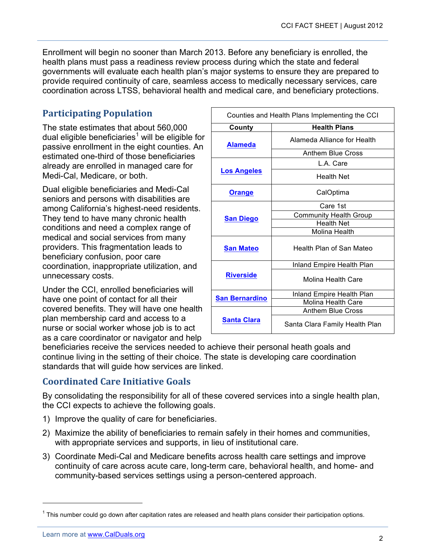Enrollment will begin no sooner than March 2013. Before any beneficiary is enrolled, the health plans must pass a readiness review process during which the state and federal governments will evaluate each health plan's major systems to ensure they are prepared to provide required continuity of care, seamless access to medically necessary services, care coordination across LTSS, behavioral health and medical care, and beneficiary protections.

## **Participating Population**

 The state estimates that about 560,000 Medi-Cal, Medicare, or both. dual eligible beneficiaries<sup>1</sup> will be eligible for passive enrollment in the eight counties. An estimated one-third of those beneficiaries already are enrolled in managed care for

Dual eligible beneficiaries and Medi-Cal seniors and persons with disabilities are among California's highest-need residents. They tend to have many chronic health conditions and need a complex range of medical and social services from many providers. This fragmentation leads to beneficiary confusion, poor care coordination, inappropriate utilization, and unnecessary costs.

Under the CCI, enrolled beneficiaries will have one point of contact for all their covered benefits. They will have one health plan membership card and access to a nurse or social worker whose job is to act as a care coordinator or navigator and help

| Counties and Health Plans Implementing the CCI |                                |
|------------------------------------------------|--------------------------------|
| County                                         | <b>Health Plans</b>            |
| Alameda                                        | Alameda Alliance for Health    |
|                                                | Anthem Blue Cross              |
| <b>Los Angeles</b>                             | L.A. Care                      |
|                                                | Health Net                     |
| <b>Orange</b>                                  | CalOptima                      |
| <b>San Diego</b>                               | Care 1st                       |
|                                                | <b>Community Health Group</b>  |
|                                                | <b>Health Net</b>              |
|                                                | Molina Health                  |
| <b>San Mateo</b>                               | Health Plan of San Mateo       |
| <b>Riverside</b>                               | Inland Empire Health Plan      |
|                                                | Molina Health Care             |
| <b>San Bernardino</b>                          | Inland Empire Health Plan      |
|                                                | Molina Health Care             |
| <b>Santa Clara</b>                             | <b>Anthem Blue Cross</b>       |
|                                                | Santa Clara Family Health Plan |

beneficiaries receive the services needed to achieve their personal heath goals and continue living in the setting of their choice. The state is developing care coordination standards that will guide how services are linked.

## **Coordinated Care Initiative Goals**

By consolidating the responsibility for all of these covered services into a single health plan, the CCI expects to achieve the following goals.

- 1) Improve the quality of care for beneficiaries.
- 2) Maximize the ability of beneficiaries to remain safely in their homes and communities, with appropriate services and supports, in lieu of institutional care.
- 3) Coordinate Medi-Cal and Medicare benefits across health care settings and improve continuity of care across acute care, long-term care, behavioral health, and home- and community-based services settings using a person-centered approach.

1

 $1$  This number could go down after capitation rates are released and health plans consider their participation options.